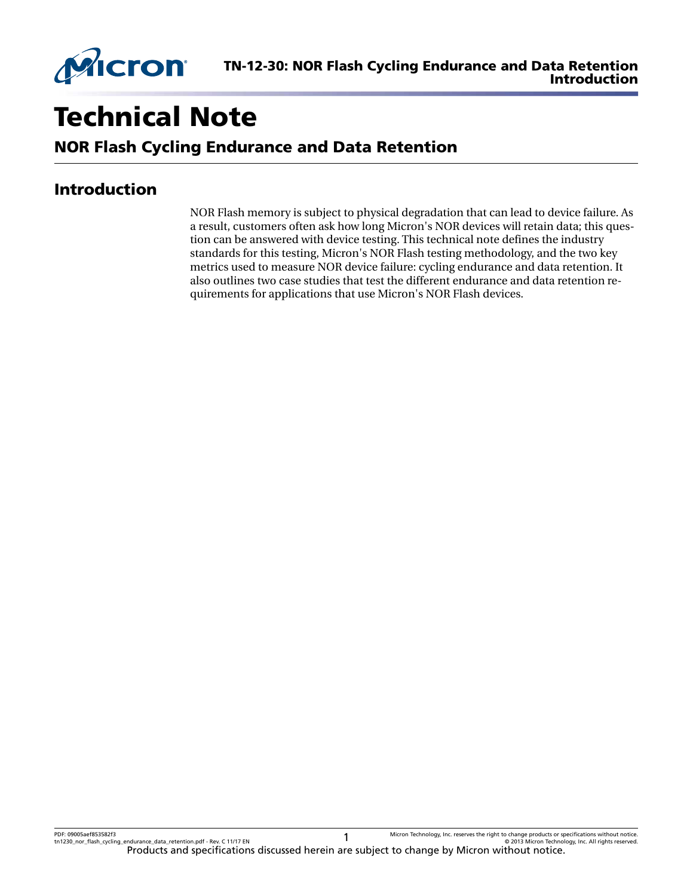

# Technical Note

NOR Flash Cycling Endurance and Data Retention

# Introduction

NOR Flash memory is subject to physical degradation that can lead to device failure. As a result, customers often ask how long Micron's NOR devices will retain data; this question can be answered with device testing. This technical note defines the industry standards for this testing, Micron's NOR Flash testing methodology, and the two key metrics used to measure NOR device failure: cycling endurance and data retention. It also outlines two case studies that test the different endurance and data retention requirements for applications that use Micron's NOR Flash devices.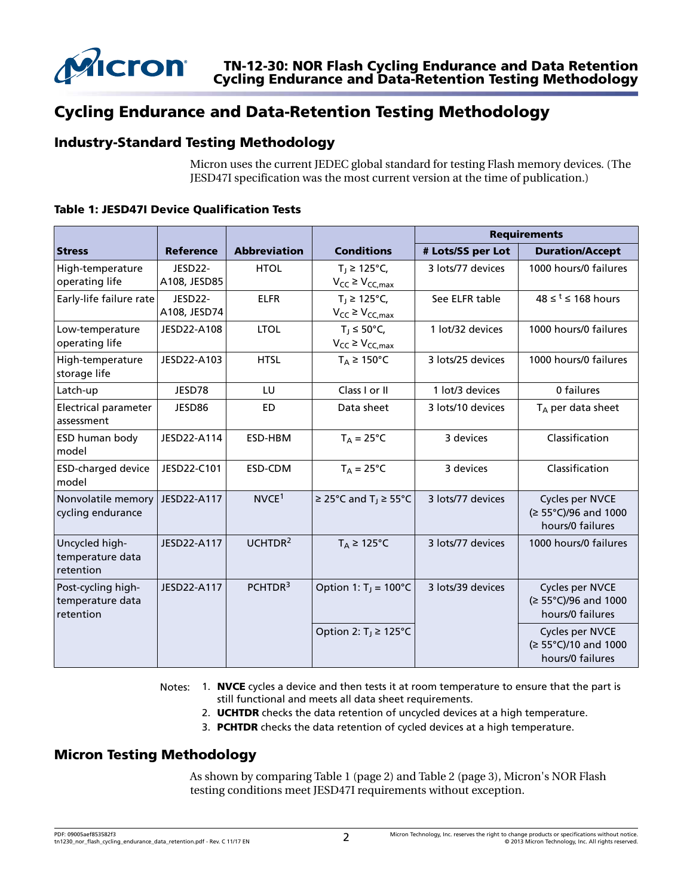

# Cycling Endurance and Data-Retention Testing Methodology

### Industry-Standard Testing Methodology

Micron uses the current JEDEC global standard for testing Flash memory devices. (The JESD47I specification was the most current version at the time of publication.)

|                                                     |                                      |                     |                                                      | <b>Requirements</b> |                                                             |  |  |  |  |  |  |
|-----------------------------------------------------|--------------------------------------|---------------------|------------------------------------------------------|---------------------|-------------------------------------------------------------|--|--|--|--|--|--|
| <b>Stress</b>                                       | <b>Reference</b>                     | <b>Abbreviation</b> | <b>Conditions</b>                                    | # Lots/SS per Lot   | <b>Duration/Accept</b>                                      |  |  |  |  |  |  |
| High-temperature<br>operating life                  | JESD22-<br>A108, JESD85              | <b>HTOL</b>         | $T_1$ ≥ 125°C,<br>$V_{CC} \geq V_{CC,max}$           | 3 lots/77 devices   | 1000 hours/0 failures                                       |  |  |  |  |  |  |
| Early-life failure rate                             | JESD <sub>22</sub> -<br>A108, JESD74 | <b>ELFR</b>         | $T_1$ ≥ 125°C,<br>$V_{CC} \geq V_{CC,max}$           | See ELFR table      | $48 \leq t \leq 168$ hours                                  |  |  |  |  |  |  |
| Low-temperature<br>operating life                   | JESD22-A108                          | <b>LTOL</b>         | $T_1 \leq 50^{\circ}$ C,<br>$V_{CC} \geq V_{CC,max}$ | 1 lot/32 devices    | 1000 hours/0 failures                                       |  |  |  |  |  |  |
| High-temperature<br>storage life                    | JESD22-A103                          | <b>HTSL</b>         | $T_A \geq 150^{\circ}C$                              | 3 lots/25 devices   | 1000 hours/0 failures                                       |  |  |  |  |  |  |
| Latch-up                                            | JESD78                               | LU                  | Class I or II                                        | 1 lot/3 devices     | 0 failures                                                  |  |  |  |  |  |  |
| Electrical parameter<br>assessment                  | JESD86                               | <b>ED</b>           | Data sheet                                           | 3 lots/10 devices   | $T_A$ per data sheet                                        |  |  |  |  |  |  |
| <b>ESD human body</b><br>model                      | JESD22-A114                          | ESD-HBM             | $T_A = 25^{\circ}C$                                  | 3 devices           | Classification                                              |  |  |  |  |  |  |
| <b>ESD-charged device</b><br>model                  | JESD22-C101                          | ESD-CDM             | $T_A = 25^{\circ}C$                                  | 3 devices           | Classification                                              |  |  |  |  |  |  |
| Nonvolatile memory<br>cycling endurance             | JESD22-A117                          | NVCE <sup>1</sup>   | $\geq$ 25°C and T <sub>1</sub> $\geq$ 55°C           | 3 lots/77 devices   | Cycles per NVCE<br>(≥ 55°C)/96 and 1000<br>hours/0 failures |  |  |  |  |  |  |
| Uncycled high-<br>temperature data<br>retention     | JESD22-A117                          | UCHTDR <sup>2</sup> | $T_A \geq 125^{\circ}C$                              | 3 lots/77 devices   | 1000 hours/0 failures                                       |  |  |  |  |  |  |
| Post-cycling high-<br>temperature data<br>retention | JESD22-A117                          | PCHTDR <sup>3</sup> | Option 1: $T_1 = 100^{\circ}C$                       | 3 lots/39 devices   | Cycles per NVCE<br>(≥ 55°C)/96 and 1000<br>hours/0 failures |  |  |  |  |  |  |
|                                                     |                                      |                     | Option 2: $T_1 \ge 125^{\circ}C$                     |                     | Cycles per NVCE<br>(≥ 55°C)/10 and 1000<br>hours/0 failures |  |  |  |  |  |  |

#### Table 1: JESD47I Device Qualification Tests

Notes: 1. NVCE cycles a device and then tests it at room temperature to ensure that the part is still functional and meets all data sheet requirements.

- 2. **UCHTDR** checks the data retention of uncycled devices at a high temperature.
- 3. PCHTDR checks the data retention of cycled devices at a high temperature.

#### Micron Testing Methodology

As shown by comparing Table 1 (page 2) and [Table 2](#page-2-0) (page 3), Micron's NOR Flash testing conditions meet JESD47I requirements without exception.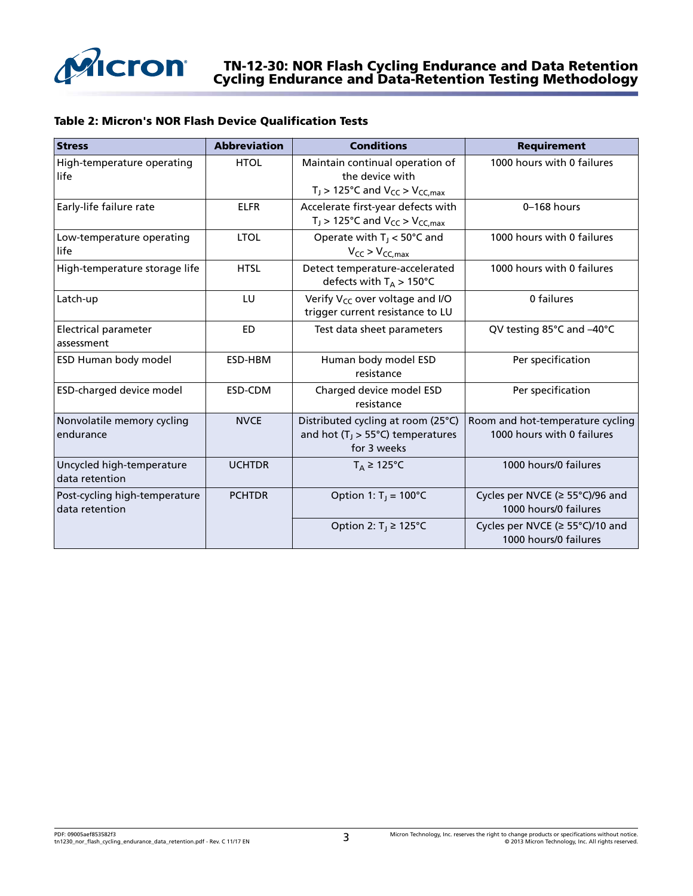<span id="page-2-0"></span>

#### TN-12-30: NOR Flash Cycling Endurance and Data Retention Cycling Endurance and Data-Retention Testing Methodology

#### Table 2: Micron's NOR Flash Device Qualification Tests

| <b>Stress</b>                                   | <b>Abbreviation</b> | <b>Conditions</b>                                                                                 | <b>Requirement</b>                                             |  |  |  |  |  |
|-------------------------------------------------|---------------------|---------------------------------------------------------------------------------------------------|----------------------------------------------------------------|--|--|--|--|--|
| High-temperature operating<br>life              | <b>HTOL</b>         | Maintain continual operation of<br>the device with<br>$T_J$ > 125°C and $V_{CC}$ > $V_{CC,max}$   | 1000 hours with 0 failures                                     |  |  |  |  |  |
| Early-life failure rate                         | <b>ELFR</b>         | Accelerate first-year defects with<br>$T_J$ > 125°C and $V_{CC}$ > $V_{CC,max}$                   | $0-168$ hours                                                  |  |  |  |  |  |
| Low-temperature operating<br>life               | <b>LTOL</b>         | Operate with $T_j < 50^{\circ}$ C and<br>$V_{CC}$ > $V_{CC,max}$                                  | 1000 hours with 0 failures                                     |  |  |  |  |  |
| High-temperature storage life                   | <b>HTSL</b>         | Detect temperature-accelerated<br>defects with $T_A > 150^{\circ}$ C                              | 1000 hours with 0 failures                                     |  |  |  |  |  |
| Latch-up                                        | LU                  | Verify V <sub>CC</sub> over voltage and I/O<br>trigger current resistance to LU                   | 0 failures                                                     |  |  |  |  |  |
| <b>Electrical parameter</b><br>assessment       | <b>ED</b>           | Test data sheet parameters                                                                        | QV testing 85°C and -40°C                                      |  |  |  |  |  |
| ESD Human body model                            | ESD-HBM             | Human body model ESD<br>resistance                                                                | Per specification                                              |  |  |  |  |  |
| ESD-charged device model                        | ESD-CDM             | Charged device model ESD<br>resistance                                                            | Per specification                                              |  |  |  |  |  |
| Nonvolatile memory cycling<br>endurance         | <b>NVCE</b>         | Distributed cycling at room (25°C)<br>and hot ( $T_J > 55^{\circ}$ C) temperatures<br>for 3 weeks | Room and hot-temperature cycling<br>1000 hours with 0 failures |  |  |  |  |  |
| Uncycled high-temperature<br>data retention     | <b>UCHTDR</b>       | $T_A \geq 125^{\circ}C$                                                                           | 1000 hours/0 failures                                          |  |  |  |  |  |
| Post-cycling high-temperature<br>data retention | <b>PCHTDR</b>       | Option 1: $T_1 = 100^{\circ}C$                                                                    | Cycles per NVCE (≥ 55°C)/96 and<br>1000 hours/0 failures       |  |  |  |  |  |
|                                                 |                     | Option 2: $T_1 \geq 125^{\circ}C$                                                                 | Cycles per NVCE (≥ 55°C)/10 and<br>1000 hours/0 failures       |  |  |  |  |  |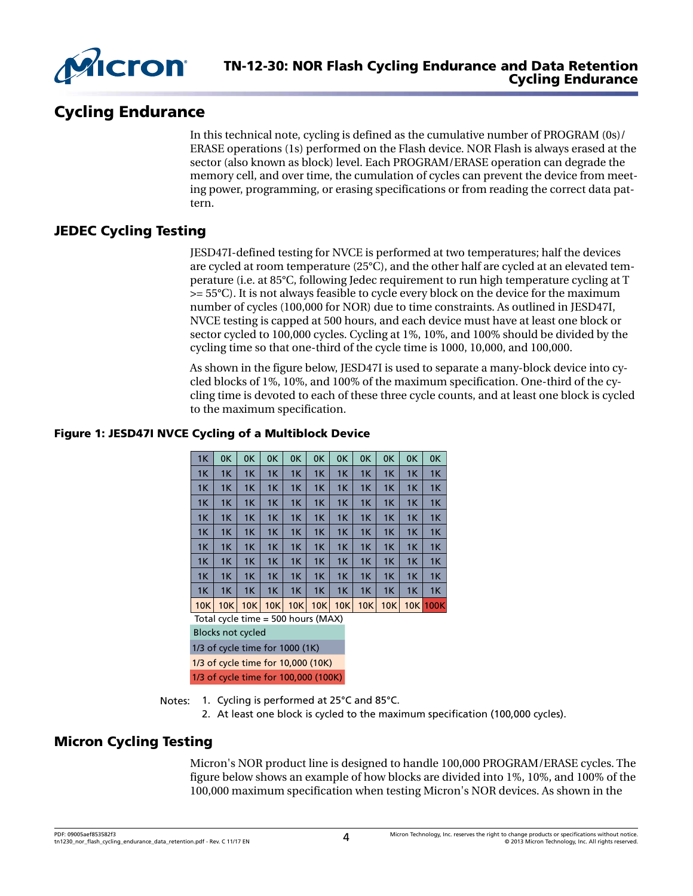

# Cycling Endurance

In this technical note, cycling is defined as the cumulative number of PROGRAM (0s)/ ERASE operations (1s) performed on the Flash device. NOR Flash is always erased at the sector (also known as block) level. Each PROGRAM/ERASE operation can degrade the memory cell, and over time, the cumulation of cycles can prevent the device from meeting power, programming, or erasing specifications or from reading the correct data pattern.

# JEDEC Cycling Testing

JESD47I-defined testing for NVCE is performed at two temperatures; half the devices are cycled at room temperature (25°C), and the other half are cycled at an elevated temperature (i.e. at 85°C, following Jedec requirement to run high temperature cycling at T  $>=$  55 $^{\circ}$ C). It is not always feasible to cycle every block on the device for the maximum number of cycles (100,000 for NOR) due to time constraints. As outlined in JESD47I, NVCE testing is capped at 500 hours, and each device must have at least one block or sector cycled to 100,000 cycles. Cycling at 1%, 10%, and 100% should be divided by the cycling time so that one-third of the cycle time is 1000, 10,000, and 100,000.

As shown in the figure below, JESD47I is used to separate a many-block device into cycled blocks of 1%, 10%, and 100% of the maximum specification. One-third of the cycling time is devoted to each of these three cycle counts, and at least one block is cycled to the maximum specification.

#### 1K 0K 0K 0K 0K 0K 0K 0K 0K 0K 0K 1K 1K 1K 1K 1K 1K 1K 1K 1K 1K 1K 1K 1K 1K 1K 1K 1K 1K 1K 1K 1K 1K 1K 1K 1K 1K 1K 1K 1K 1K 1K 1K 1K 1K 1K 1K 1K 1K 1K 1K 1K 1K 1K 1K 1K 1K 1K 1K 1K 1K 1K 1K 1K 1K 1K 1K 1K 1K 1K 1K 1K 1K 1K 1K 1K 1K 1K 1K 1K 1K 1K 1K 1K 1K 1K 1K 1K 1K 1K 1K 1K 1K 1K 1K 1K 1K 1K 1K 1K 1K 1K 1K 1K 1K 1K 1K 1K 1K 1K 10K 10K 10K 10K 10K 10K 10K 10K 10K 10K 100K Total cycle time = 500 hours (MAX) Blocks not cycled

#### Figure 1: JESD47I NVCE Cycling of a Multiblock Device

1/3 of cycle time for 1000 (1K)

1/3 of cycle time for 10,000 (10K) 1/3 of cycle time for 100,000 (100K)

Notes: 1. Cycling is performed at 25°C and 85°C.

2. At least one block is cycled to the maximum specification (100,000 cycles).

# Micron Cycling Testing

Micron's NOR product line is designed to handle 100,000 PROGRAM/ERASE cycles. The figure below shows an example of how blocks are divided into 1%, 10%, and 100% of the 100,000 maximum specification when testing Micron's NOR devices. As shown in the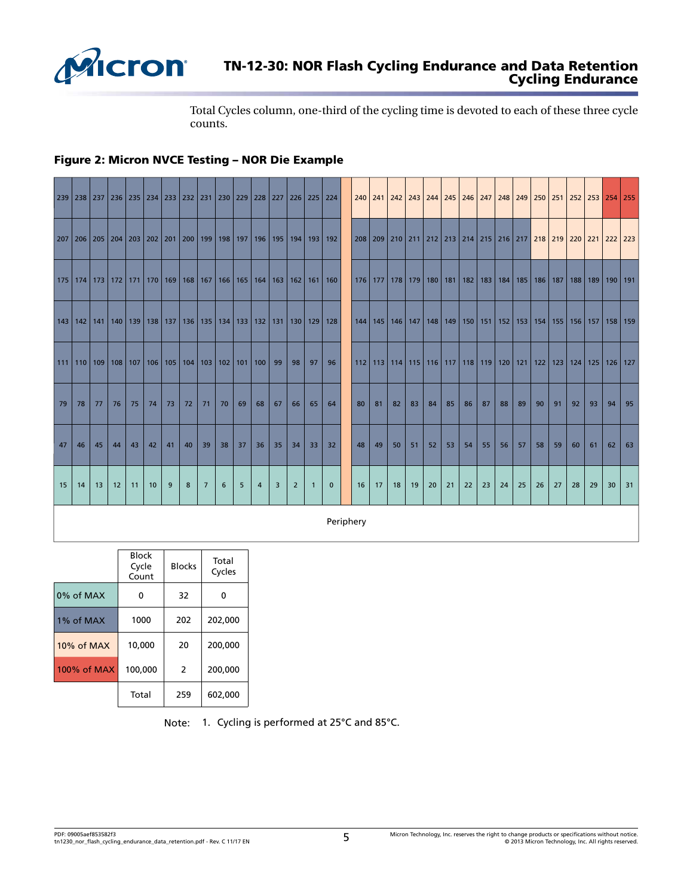

# TN-12-30: NOR Flash Cycling Endurance and Data Retention Cycling Endurance

Total Cycles column, one-third of the cycling time is devoted to each of these three cycle counts.

#### Figure 2: Micron NVCE Testing – NOR Die Example

| 239 238 237 236 235 234 233 232 231 230 229 228 227 226 225 224 |     |     |    |             |    |    |                                         |                 |    |                                         |                |    |                |                 |              |     |     |    | 240 241 242 243 244 245 246 247                                                      |    |    |    |    |     |    | 248 249 250 251 252 253           |     |    |             |    | $254$ 255   |
|-----------------------------------------------------------------|-----|-----|----|-------------|----|----|-----------------------------------------|-----------------|----|-----------------------------------------|----------------|----|----------------|-----------------|--------------|-----|-----|----|--------------------------------------------------------------------------------------|----|----|----|----|-----|----|-----------------------------------|-----|----|-------------|----|-------------|
| 207                                                             | 206 |     |    |             |    |    | 205   204   203   202   201   200   199 |                 |    | 198   197   196                         |                |    |                | 195   194   193 | 192          | 208 | 209 |    | 210   211   212   213   214   215   216   217 <mark>  218   219   220   221  </mark> |    |    |    |    |     |    |                                   |     |    |             |    | 222   223   |
| 175   174                                                       |     | 173 |    |             |    |    | 172   171   170   169   168   167       |                 |    | 166   165   164   163   162   161       |                |    |                |                 | 160          |     |     |    | 176   177   178   179   180   181   182   183                                        |    |    |    |    | 184 |    | 185   186   187                   |     |    | $188$   189 |    | $190$   191 |
| $143$ 142                                                       |     | 141 |    | $140$   139 |    |    | 138   137   136                         |                 |    | 135   134   133   132   131   130   129 |                |    |                |                 | 128          | 144 |     |    | 145   146   147   148   149   150   151                                              |    |    |    |    |     |    | 152   153   154   155   156   157 |     |    |             |    | $158$   159 |
| $111$ 110                                                       |     | 109 |    | $108$   107 |    |    | $106$   105   104   103                 |                 |    | $102$   101   100                       |                | 99 | 98             | 97              | 96           | 112 |     |    | 113   114   115   116   117   118   119                                              |    |    |    |    |     |    | $120$ 121 122                     | 123 |    | $124$ 125   |    | $126$ 127   |
| 79                                                              | 78  | 77  | 76 | 75          | 74 | 73 | 72                                      | 71              | 70 | 69                                      | 68             | 67 | 66             | 65              | 64           | 80  | 81  | 82 | 83                                                                                   | 84 | 85 | 86 | 87 | 88  | 89 | 90                                | 91  | 92 | 93          | 94 | 95          |
| 47                                                              | 46  | 45  | 44 | 43          | 42 | 41 | 40                                      | 39              | 38 | 37                                      | 36             | 35 | 34             | 33              | 32           | 48  | 49  | 50 | 51                                                                                   | 52 | 53 | 54 | 55 | 56  | 57 | 58                                | 59  | 60 | 61          | 62 | 63          |
| 15                                                              | 14  | 13  | 12 | 11          | 10 | 9  | 8                                       | $7\phantom{.0}$ | 6  | 5                                       | $\overline{4}$ | 3  | $\overline{2}$ | $\mathbf{1}$    | $\mathbf{0}$ | 16  | 17  | 18 | 19                                                                                   | 20 | 21 | 22 | 23 | 24  | 25 | 26                                | 27  | 28 | 29          | 30 | 31          |
|                                                                 |     |     |    |             |    |    |                                         |                 |    |                                         |                |    |                |                 | Periphery    |     |     |    |                                                                                      |    |    |    |    |     |    |                                   |     |    |             |    |             |

|             | <b>Block</b><br>Cycle<br>Count | <b>Blocks</b> | Total<br>Cycles |
|-------------|--------------------------------|---------------|-----------------|
| 0% of MAX   | 0                              | 32            | 0               |
| 1% of MAX   | 1000                           | 202           | 202,000         |
| 10% of MAX  | 10,000                         | 20            | 200,000         |
| 100% of MAX | 100,000                        | 2             | 200,000         |
|             | Total                          | 259           | 602,000         |

Note: 1. Cycling is performed at 25°C and 85°C.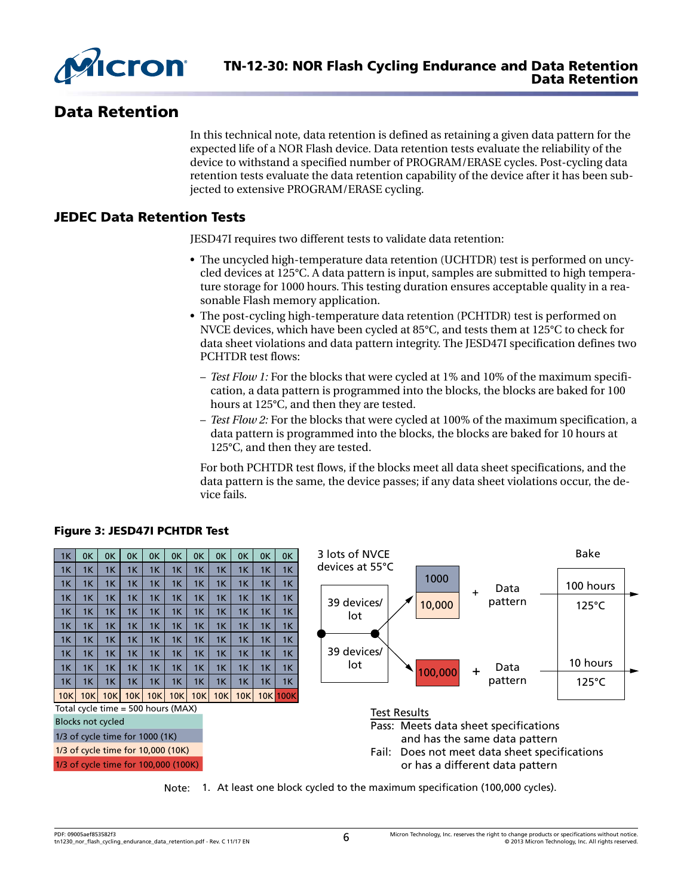

# Data Retention

In this technical note, data retention is defined as retaining a given data pattern for the expected life of a NOR Flash device. Data retention tests evaluate the reliability of the device to withstand a specified number of PROGRAM/ERASE cycles. Post-cycling data retention tests evaluate the data retention capability of the device after it has been subjected to extensive PROGRAM/ERASE cycling.

#### JEDEC Data Retention Tests

JESD47I requires two different tests to validate data retention:

- The uncycled high-temperature data retention (UCHTDR) test is performed on uncycled devices at 125°C. A data pattern is input, samples are submitted to high temperature storage for 1000 hours. This testing duration ensures acceptable quality in a reasonable Flash memory application.
- The post-cycling high-temperature data retention (PCHTDR) test is performed on NVCE devices, which have been cycled at 85°C, and tests them at 125°C to check for data sheet violations and data pattern integrity. The JESD47I specification defines two PCHTDR test flows:
	- *Test Flow 1:* For the blocks that were cycled at 1% and 10% of the maximum specification, a data pattern is programmed into the blocks, the blocks are baked for 100 hours at 125°C, and then they are tested.
	- *Test Flow 2:* For the blocks that were cycled at 100% of the maximum specification, a data pattern is programmed into the blocks, the blocks are baked for 10 hours at 125°C, and then they are tested.

For both PCHTDR test flows, if the blocks meet all data sheet specifications, and the data pattern is the same, the device passes; if any data sheet violations occur, the device fails.



#### Figure 3: JESD47I PCHTDR Test

Note: 1. At least one block cycled to the maximum specification (100,000 cycles).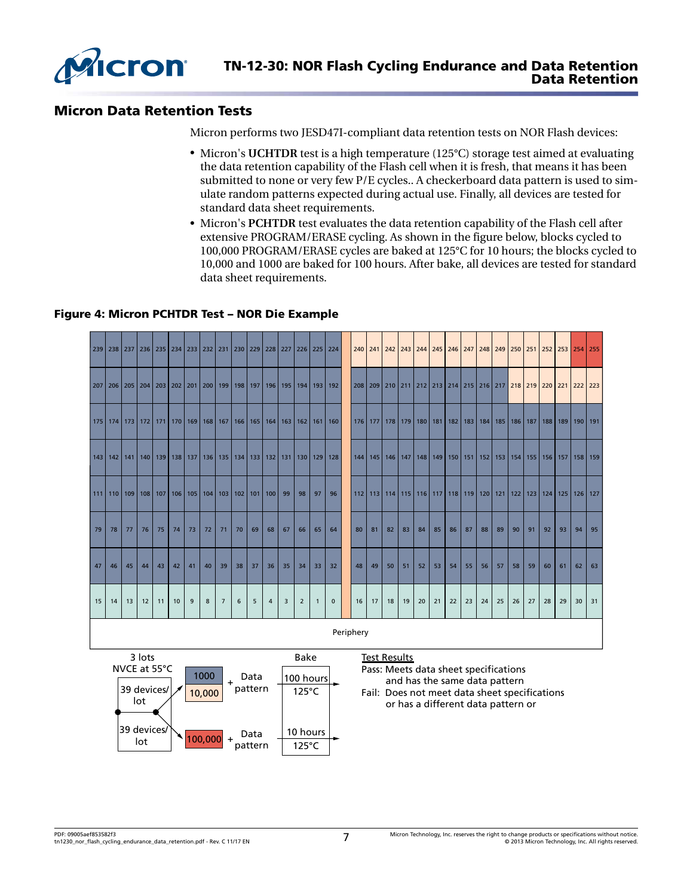

#### Micron Data Retention Tests

Micron performs two JESD47I-compliant data retention tests on NOR Flash devices:

- Micron's **UCHTDR** test is a high temperature (125°C) storage test aimed at evaluating the data retention capability of the Flash cell when it is fresh, that means it has been submitted to none or very few P/E cycles.. A checkerboard data pattern is used to simulate random patterns expected during actual use. Finally, all devices are tested for standard data sheet requirements.
- Micron's **PCHTDR** test evaluates the data retention capability of the Flash cell after extensive PROGRAM/ERASE cycling. As shown in the figure below, blocks cycled to 100,000 PROGRAM/ERASE cycles are baked at 125°C for 10 hours; the blocks cycled to 10,000 and 1000 are baked for 100 hours. After bake, all devices are tested for standard data sheet requirements.

#### Figure 4: Micron PCHTDR Test – NOR Die Example

|           |    | 239   238   237   236   235   234   233   232   231   230   229   228   227 |     |    |    |    |                                                           |                |                 |                             |                |    |                |              | 226 225 224       |           |         |                 |    |    |    |                                                           |    |    |     |                                                                                   |           |     | 240   241   242   243   244   245   246   247   248   249   250   251   252   253   254   255 |             |         |
|-----------|----|-----------------------------------------------------------------------------|-----|----|----|----|-----------------------------------------------------------|----------------|-----------------|-----------------------------|----------------|----|----------------|--------------|-------------------|-----------|---------|-----------------|----|----|----|-----------------------------------------------------------|----|----|-----|-----------------------------------------------------------------------------------|-----------|-----|-----------------------------------------------------------------------------------------------|-------------|---------|
|           |    | 207   206   205   204   203   202   201   200                               |     |    |    |    |                                                           |                |                 | 199   198   197   196   195 |                |    |                |              | 194   193   192   |           |         |                 |    |    |    |                                                           |    |    |     | 208   209   210   211   212   213   214   215   216   217   218   219   220   221 |           |     |                                                                                               | 222 223     |         |
|           |    | 175 174 173                                                                 |     |    |    |    | 172   171   170   169   168   167   166   165   164   163 |                |                 |                             |                |    |                |              | $162$   161   160 |           | 176 177 |                 |    |    |    | 178   179   180   181   182   183   184                   |    |    | 185 |                                                                                   | 186   187 | 188 | 189                                                                                           | 190   191   |         |
|           |    | 143 142 141                                                                 | 140 |    |    |    | 139   138   137   136                                     |                |                 | 135   134   133   132   131 |                |    | 130            | 129          | 128               |           |         | 144 145 146 147 |    |    |    | 148   149   150   151   152                               |    |    | 153 | 154                                                                               |           |     | 155   156   157                                                                               |             | 158 159 |
| $111$ 110 |    | 109 <sup>1</sup>                                                            |     |    |    |    | 108   107   106   105   104                               |                |                 | 103   102   101   100       |                | 99 | 98             | 97           | 96                |           |         |                 |    |    |    | 112   113   114   115   116   117   118   119   120   121 |    |    |     |                                                                                   | $122$ 123 |     | $124$ 125                                                                                     | $126$   127 |         |
| 79        | 78 | 77                                                                          | 76  | 75 | 74 | 73 | 72                                                        | 71             | 70              | 69                          | 68             | 67 | 66             | 65           | 64                | 80        | 81      | 82              | 83 | 84 | 85 | 86                                                        | 87 | 88 | 89  | 90                                                                                | 91        | 92  | 93                                                                                            | 94          | 95      |
| 47        | 46 | 45                                                                          | 44  | 43 | 42 | 41 | 40                                                        | 39             | 38              | 37                          | 36             | 35 | 34             | 33           | 32                | 48        | 49      | 50              | 51 | 52 | 53 | 54                                                        | 55 | 56 | 57  | 58                                                                                | 59        | 60  | 61                                                                                            | 62          | 63      |
| 15        | 14 | 13                                                                          | 12  | 11 | 10 | 9  | 8                                                         | $\overline{7}$ | $6\phantom{1}6$ | 5                           | $\overline{4}$ | 3  | $\overline{2}$ | $\mathbf{1}$ | $\mathbf{0}$      | 16        | 17      | 18              | 19 | 20 | 21 | 22                                                        | 23 | 24 | 25  | 26                                                                                | 27        | 28  | 29                                                                                            | 30          | 31      |
|           |    |                                                                             |     |    |    |    |                                                           |                |                 |                             |                |    |                |              |                   | Periphery |         |                 |    |    |    |                                                           |    |    |     |                                                                                   |           |     |                                                                                               |             |         |



Pass: Meets data sheet specifications and has the same data pattern

Fail: Does not meet data sheet specifications or has a different data pattern or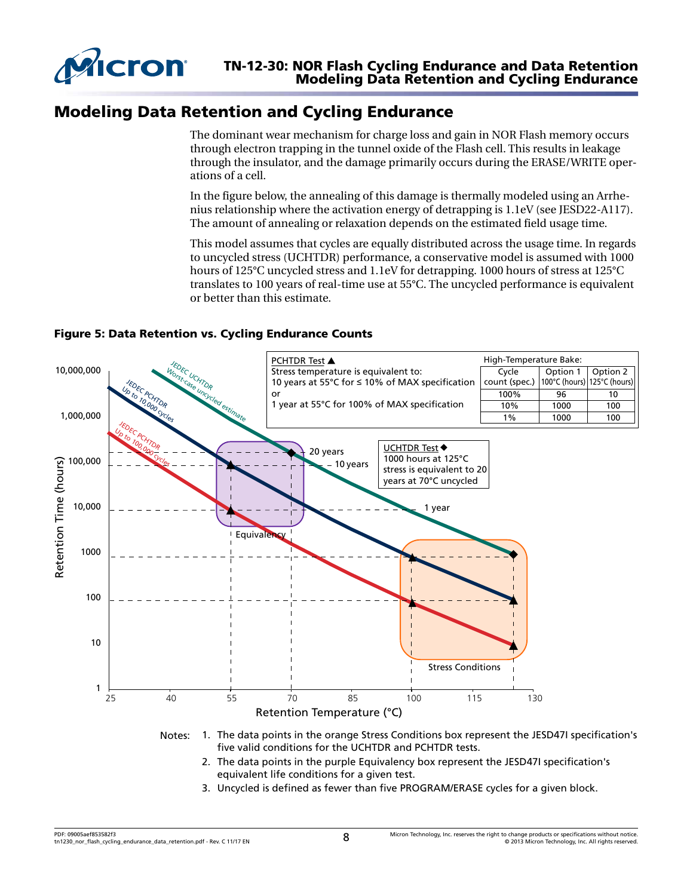

# Modeling Data Retention and Cycling Endurance

The dominant wear mechanism for charge loss and gain in NOR Flash memory occurs through electron trapping in the tunnel oxide of the Flash cell. This results in leakage through the insulator, and the damage primarily occurs during the ERASE/WRITE operations of a cell.

In the figure below, the annealing of this damage is thermally modeled using an Arrhenius relationship where the activation energy of detrapping is 1.1eV (see JESD22-A117). The amount of annealing or relaxation depends on the estimated field usage time.

This model assumes that cycles are equally distributed across the usage time. In regards to uncycled stress (UCHTDR) performance, a conservative model is assumed with 1000 hours of 125°C uncycled stress and 1.1eV for detrapping. 1000 hours of stress at 125°C translates to 100 years of real-time use at 55°C. The uncycled performance is equivalent or better than this estimate.

#### Figure 5: Data Retention vs. Cycling Endurance Counts



- Notes: 1. The data points in the orange Stress Conditions box represent the JESD47I specification's five valid conditions for the UCHTDR and PCHTDR tests.
	- 2. The data points in the purple Equivalency box represent the JESD47I specification's equivalent life conditions for a given test.
	- 3. Uncycled is defined as fewer than five PROGRAM/ERASE cycles for a given block.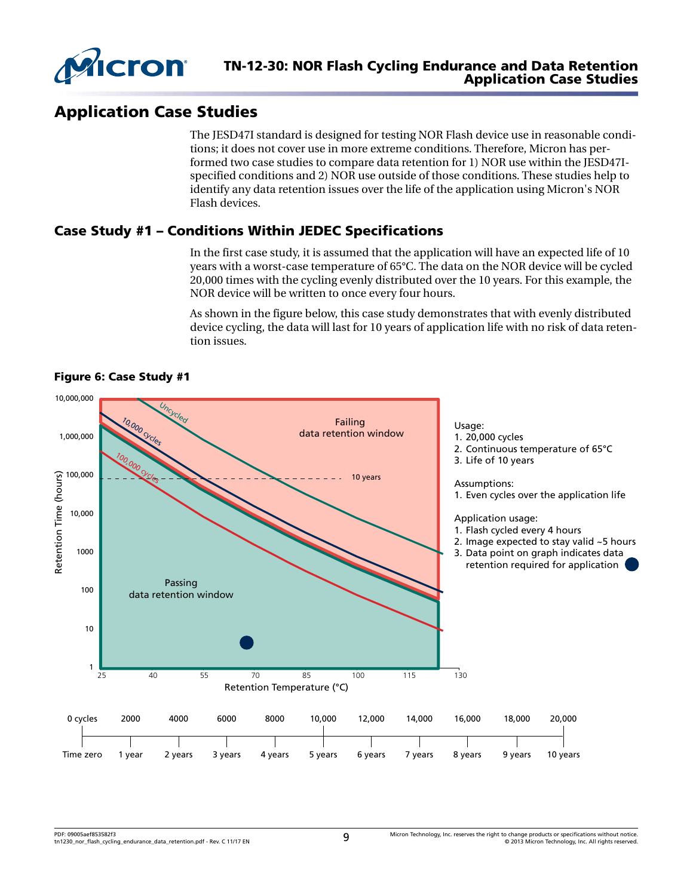

# Application Case Studies

The JESD47I standard is designed for testing NOR Flash device use in reasonable conditions; it does not cover use in more extreme conditions. Therefore, Micron has performed two case studies to compare data retention for 1) NOR use within the JESD47Ispecified conditions and 2) NOR use outside of those conditions. These studies help to identify any data retention issues over the life of the application using Micron's NOR Flash devices.

#### Case Study #1 – Conditions Within JEDEC Specifications

In the first case study, it is assumed that the application will have an expected life of 10 years with a worst-case temperature of 65°C. The data on the NOR device will be cycled 20,000 times with the cycling evenly distributed over the 10 years. For this example, the NOR device will be written to once every four hours.

As shown in the figure below, this case study demonstrates that with evenly distributed device cycling, the data will last for 10 years of application life with no risk of data retention issues.



Figure 6: Case Study #1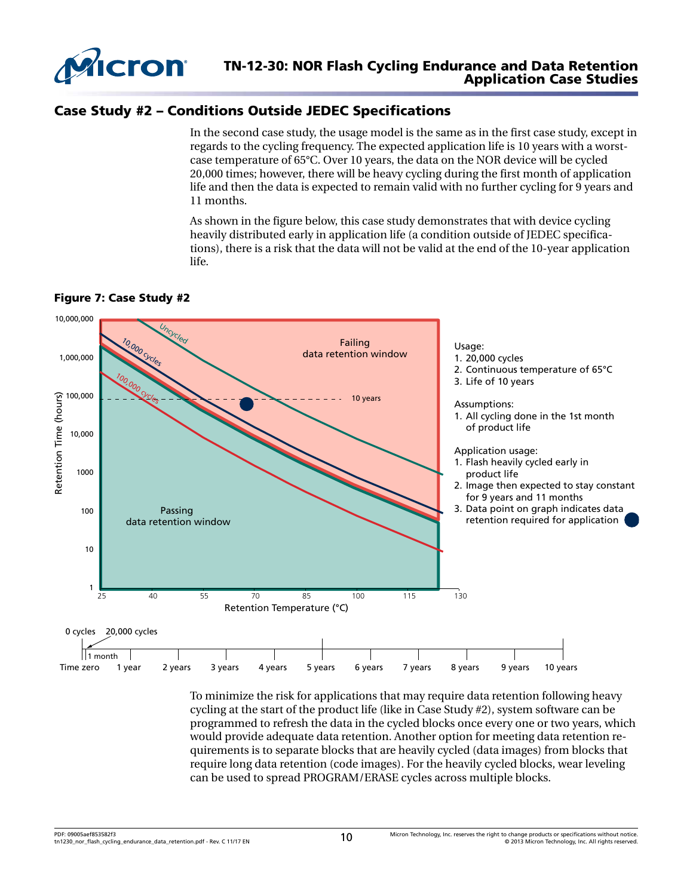

# Case Study #2 – Conditions Outside JEDEC Specifications

In the second case study, the usage model is the same as in the first case study, except in regards to the cycling frequency. The expected application life is 10 years with a worstcase temperature of 65°C. Over 10 years, the data on the NOR device will be cycled 20,000 times; however, there will be heavy cycling during the first month of application life and then the data is expected to remain valid with no further cycling for 9 years and 11 months.

As shown in the figure below, this case study demonstrates that with device cycling heavily distributed early in application life (a condition outside of JEDEC specifications), there is a risk that the data will not be valid at the end of the 10-year application life.





To minimize the risk for applications that may require data retention following heavy cycling at the start of the product life (like in Case Study #2), system software can be programmed to refresh the data in the cycled blocks once every one or two years, which would provide adequate data retention. Another option for meeting data retention requirements is to separate blocks that are heavily cycled (data images) from blocks that require long data retention (code images). For the heavily cycled blocks, wear leveling can be used to spread PROGRAM/ERASE cycles across multiple blocks.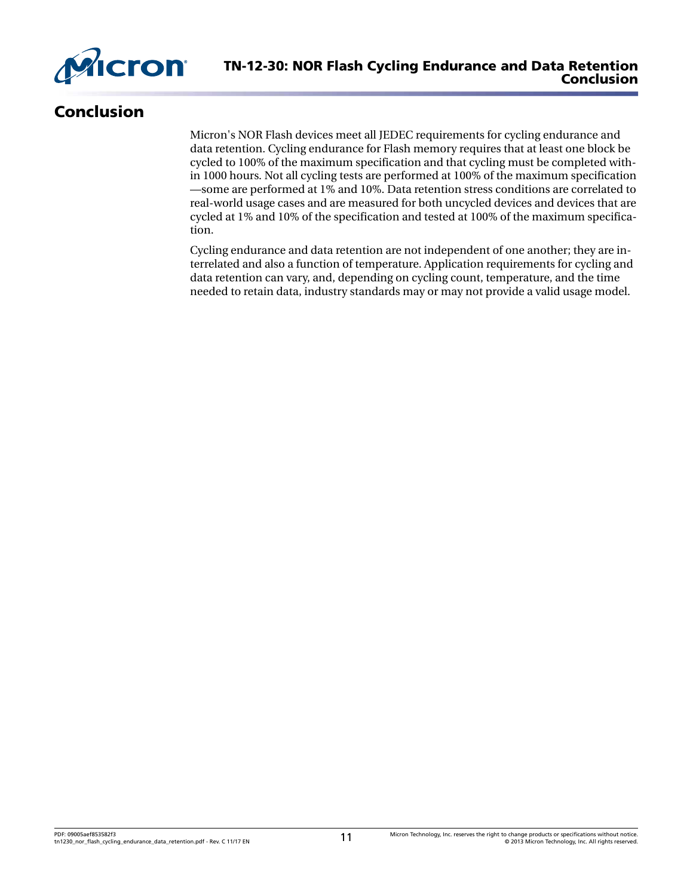

# Conclusion

Micron's NOR Flash devices meet all JEDEC requirements for cycling endurance and data retention. Cycling endurance for Flash memory requires that at least one block be cycled to 100% of the maximum specification and that cycling must be completed within 1000 hours. Not all cycling tests are performed at 100% of the maximum specification —some are performed at 1% and 10%. Data retention stress conditions are correlated to real-world usage cases and are measured for both uncycled devices and devices that are cycled at 1% and 10% of the specification and tested at 100% of the maximum specification.

Cycling endurance and data retention are not independent of one another; they are interrelated and also a function of temperature. Application requirements for cycling and data retention can vary, and, depending on cycling count, temperature, and the time needed to retain data, industry standards may or may not provide a valid usage model.